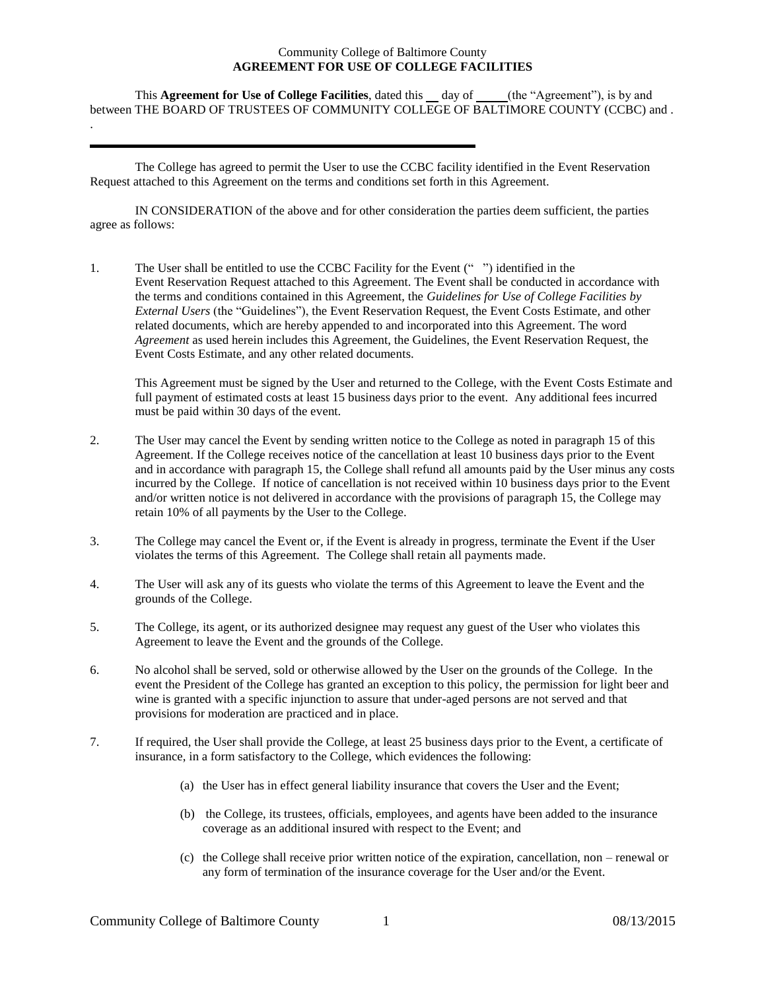## Community College of Baltimore County **AGREEMENT FOR USE OF COLLEGE FACILITIES**

This **Agreement for Use of College Facilities**, dated this day of(the "Agreement"), is by and between THE BOARD OF TRUSTEES OF COMMUNITY COLLEGE OF BALTIMORE COUNTY (CCBC) and .

The College has agreed to permit the User to use the CCBC facility identified in the Event Reservation Request attached to this Agreement on the terms and conditions set forth in this Agreement.

.

IN CONSIDERATION of the above and for other consideration the parties deem sufficient, the parties agree as follows:

1. The User shall be entitled to use the CCBC Facility for the Event (" ") identified in the Event Reservation Request attached to this Agreement. The Event shall be conducted in accordance with the terms and conditions contained in this Agreement, the *Guidelines for Use of College Facilities by External Users* (the "Guidelines"), the Event Reservation Request, the Event Costs Estimate, and other related documents, which are hereby appended to and incorporated into this Agreement. The word *Agreement* as used herein includes this Agreement, the Guidelines, the Event Reservation Request, the Event Costs Estimate, and any other related documents.

This Agreement must be signed by the User and returned to the College, with the Event Costs Estimate and full payment of estimated costs at least 15 business days prior to the event. Any additional fees incurred must be paid within 30 days of the event.

- 2. The User may cancel the Event by sending written notice to the College as noted in paragraph 15 of this Agreement. If the College receives notice of the cancellation at least 10 business days prior to the Event and in accordance with paragraph 15, the College shall refund all amounts paid by the User minus any costs incurred by the College. If notice of cancellation is not received within 10 business days prior to the Event and/or written notice is not delivered in accordance with the provisions of paragraph 15, the College may retain 10% of all payments by the User to the College.
- 3. The College may cancel the Event or, if the Event is already in progress, terminate the Event if the User violates the terms of this Agreement. The College shall retain all payments made.
- 4. The User will ask any of its guests who violate the terms of this Agreement to leave the Event and the grounds of the College.
- 5. The College, its agent, or its authorized designee may request any guest of the User who violates this Agreement to leave the Event and the grounds of the College.
- 6. No alcohol shall be served, sold or otherwise allowed by the User on the grounds of the College. In the event the President of the College has granted an exception to this policy, the permission for light beer and wine is granted with a specific injunction to assure that under-aged persons are not served and that provisions for moderation are practiced and in place.
- 7. If required, the User shall provide the College, at least 25 business days prior to the Event, a certificate of insurance, in a form satisfactory to the College, which evidences the following:
	- (a) the User has in effect general liability insurance that covers the User and the Event;
	- (b) the College, its trustees, officials, employees, and agents have been added to the insurance coverage as an additional insured with respect to the Event; and
	- (c) the College shall receive prior written notice of the expiration, cancellation, non renewal or any form of termination of the insurance coverage for the User and/or the Event.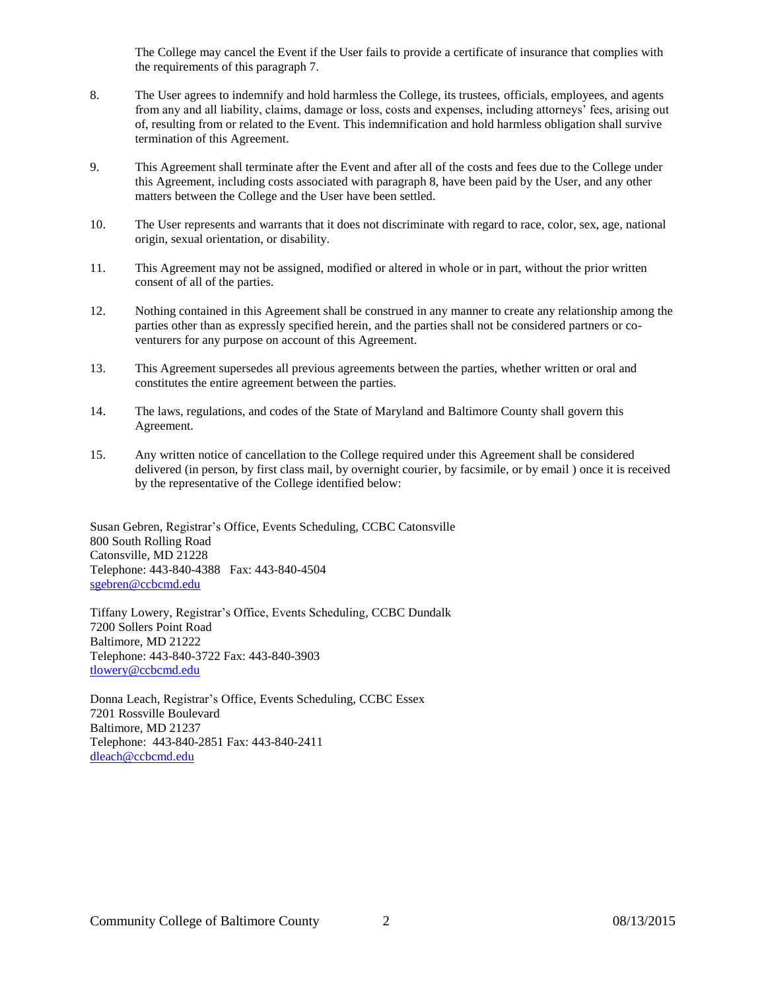The College may cancel the Event if the User fails to provide a certificate of insurance that complies with the requirements of this paragraph 7.

- 8. The User agrees to indemnify and hold harmless the College, its trustees, officials, employees, and agents from any and all liability, claims, damage or loss, costs and expenses, including attorneys' fees, arising out of, resulting from or related to the Event. This indemnification and hold harmless obligation shall survive termination of this Agreement.
- 9. This Agreement shall terminate after the Event and after all of the costs and fees due to the College under this Agreement, including costs associated with paragraph 8, have been paid by the User, and any other matters between the College and the User have been settled.
- 10. The User represents and warrants that it does not discriminate with regard to race, color, sex, age, national origin, sexual orientation, or disability.
- 11. This Agreement may not be assigned, modified or altered in whole or in part, without the prior written consent of all of the parties.
- 12. Nothing contained in this Agreement shall be construed in any manner to create any relationship among the parties other than as expressly specified herein, and the parties shall not be considered partners or coventurers for any purpose on account of this Agreement.
- 13. This Agreement supersedes all previous agreements between the parties, whether written or oral and constitutes the entire agreement between the parties.
- 14. The laws, regulations, and codes of the State of Maryland and Baltimore County shall govern this Agreement.
- 15. Any written notice of cancellation to the College required under this Agreement shall be considered delivered (in person, by first class mail, by overnight courier, by facsimile, or by email ) once it is received by the representative of the College identified below:

Susan Gebren, Registrar's Office, Events Scheduling, CCBC Catonsville 800 South Rolling Road Catonsville, MD 21228 Telephone: 443-840-4388 Fax: 443-840-4504 [sgebren@ccbcmd.edu](mailto:sgebren@ccbcmd.edu)

Tiffany Lowery, Registrar's Office, Events Scheduling, CCBC Dundalk 7200 Sollers Point Road Baltimore, MD 21222 Telephone: 443-840-3722 Fax: 443-840-3903 [tlowery@ccbcmd.edu](mailto:tlowery@ccbcmd.edu)

Donna Leach, Registrar's Office, Events Scheduling, CCBC Essex 7201 Rossville Boulevard Baltimore, MD 21237 Telephone: 443-840-2851 Fax: 443-840-2411 [dleach@ccbcmd.edu](mailto:dleach@ccbcmd.edu)